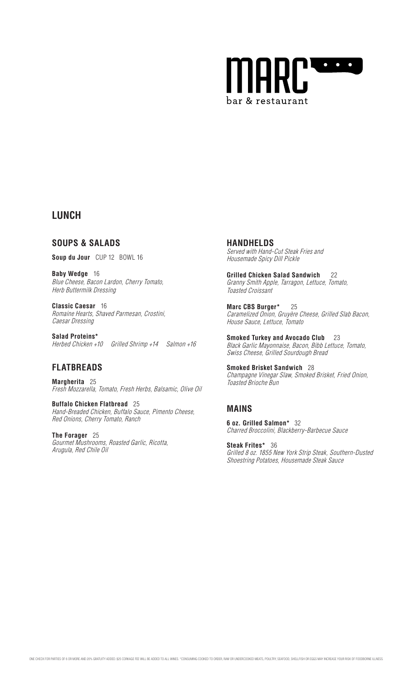

# **LUNCH**

**SOUPS & SALADS**

**Soup du Jour** CUP 12 BOWL 16

**Baby Wedge** 16 Blue Cheese, Bacon Lardon, Cherry Tomato, Herb Buttermilk Dressing

**Classic Caesar** 16 Romaine Hearts, Shaved Parmesan, Crostini, Caesar Dressing

**Salad Proteins\***  Herbed Chicken +10 Grilled Shrimp +14 Salmon +16

# **FLATBREADS**

**Margherita** 25 Fresh Mozzarella, Tomato, Fresh Herbs, Balsamic, Olive Oil

**Buffalo Chicken Flatbread** 25 Hand-Breaded Chicken, Buffalo Sauce, Pimento Cheese, Red Onions, Cherry Tomato, Ranch

**The Forager** 25 Gourmet Mushrooms, Roasted Garlic, Ricotta, Arugula, Red Chile Oil

**HANDHELDS** Served with Hand-Cut Steak Fries and Housemade Spicy Dill Pickle

**Grilled Chicken Salad Sandwich** 22 Granny Smith Apple, Tarragon, Lettuce, Tomato, Toasted Croissant

**Marc CBS Burger\*** 25 Caramelized Onion, Gruyère Cheese, Grilled Slab Bacon, House Sauce, Lettuce, Tomato

**Smoked Turkey and Avocado Club** 23 Black Garlic Mayonnaise, Bacon, Bibb Lettuce, Tomato, Swiss Cheese, Grilled Sourdough Bread

**Smoked Brisket Sandwich** 28 Champagne Vinegar Slaw, Smoked Brisket, Fried Onion, Toasted Brioche Bun

# **MAINS**

**6 oz. Grilled Salmon\*** 32 Charred Broccolini, Blackberry-Barbecue Sauce

**Steak Frites\*** 36 Grilled 8 oz. 1855 New York Strip Steak, Southern-Dusted Shoestring Potatoes, Housemade Steak Sauce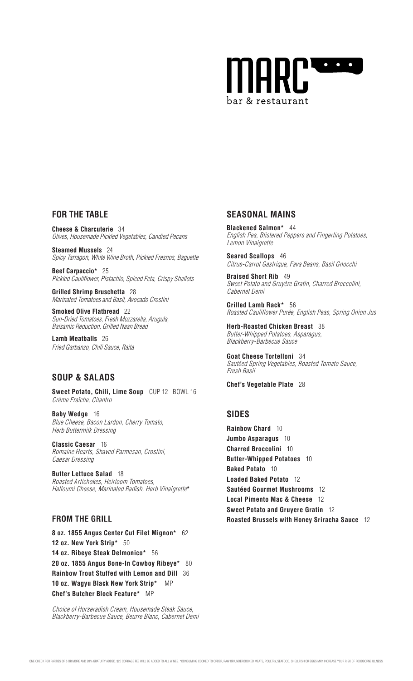

### **FOR THE TABLE**

**Cheese & Charcuterie** 34 Olives, Housemade Pickled Vegetables, Candied Pecans

**Steamed Mussels** 24 Spicy Tarragon, White Wine Broth, Pickled Fresnos, Baguette

**Beef Carpaccio\*** 25 Pickled Cauliflower, Pistachio, Spiced Feta, Crispy Shallots

**Grilled Shrimp Bruschetta** 28 Marinated Tomatoes and Basil, Avocado Crostini

**Smoked Olive Flatbread** 22 Sun-Dried Tomatoes, Fresh Mozzarella, Arugula, Balsamic Reduction, Grilled Naan Bread

**Lamb Meatballs** 26 Fried Garbanzo, Chili Sauce, Raita

### **SOUP & SALADS**

**Sweet Potato, Chili, Lime Soup** CUP 12 BOWL 16 Crème Fraîche, Cilantro

**Baby Wedge** 16 Blue Cheese, Bacon Lardon, Cherry Tomato, Herb Buttermilk Dressing

**Classic Caesar** 16 Romaine Hearts, Shaved Parmesan, Crostini, Caesar Dressing

**Butter Lettuce Salad** 18 Roasted Artichokes, Heirloom Tomatoes, Halloumi Cheese, Marinated Radish, Herb Vinaigrette**\***

### **FROM THE GRILL**

**8 oz. 1855 Angus Center Cut Filet Mignon\*** 62 **12 oz. New York Strip\*** 50 **14 oz. Ribeye Steak Delmonico\*** 56 **20 oz. 1855 Angus Bone-In Cowboy Ribeye\*** 80 **Rainbow Trout Stuffed with Lemon and Dill** 36 **10 oz. Wagyu Black New York Strip\*** MP **Chef's Butcher Block Feature\*** MP

Choice of Horseradish Cream, Housemade Steak Sauce, Blackberry-Barbecue Sauce, Beurre Blanc, Cabernet Demi

### **SEASONAL MAINS**

 **Blackened Salmon\*** <sup>44</sup> English Pea, Blistered Peppers and Fingerling Potatoes, Lemon Vinaigrette

**Seared Scallops** 46 Citrus-Carrot Gastrique, Fava Beans, Basil Gnocchi

**Braised Short Rib** 49 Sweet Potato and Gruyère Gratin, Charred Broccolini, Cabernet Demi

**Grilled Lamb Rack\*** 56 Roasted Cauliflower Purée, English Peas, Spring Onion Jus

**Herb-Roasted Chicken Breast** 38 Butter-Whipped Potatoes, Asparagus, Blackberry-Barbecue Sauce

**Goat Cheese Tortelloni** 34 Sautéed Spring Vegetables, Roasted Tomato Sauce, Fresh Basil

**Chef's Vegetable Plate** 28

### **SIDES**

**Rainbow Chard** 10 **Jumbo Asparagus** 10 **Charred Broccolini** 10 **Butter-Whipped Potatoes** 10 **Baked Potato** 10 **Loaded Baked Potato** 12 **Sautéed Gourmet Mushrooms** 12 **Local Pimento Mac & Cheese** 12 **Sweet Potato and Gruyere Gratin** 12 **Roasted Brussels with Honey Sriracha Sauce** 12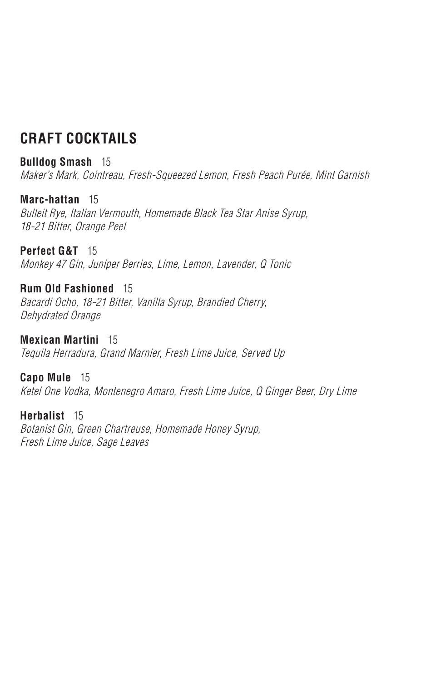# **CRAFT COCKTAILS**

#### **Bulldog Smash** 15

Maker's Mark, Cointreau, Fresh-Squeezed Lemon, Fresh Peach Purée, Mint Garnish

#### **Marc-hattan** 15

Bulleit Rye, Italian Vermouth, Homemade Black Tea Star Anise Syrup, 18-21 Bitter, Orange Peel

**Perfect G&T** 15

Monkey 47 Gin, Juniper Berries, Lime, Lemon, Lavender, Q Tonic

#### **Rum Old Fashioned** 15

Bacardi Ocho, 18-21 Bitter, Vanilla Syrup, Brandied Cherry, Dehydrated Orange

**Mexican Martini** 15 Tequila Herradura, Grand Marnier, Fresh Lime Juice, Served Up

#### **Capo Mule** 15

Ketel One Vodka, Montenegro Amaro, Fresh Lime Juice, Q Ginger Beer, Dry Lime

### **Herbalist** 15

Botanist Gin, Green Chartreuse, Homemade Honey Syrup, Fresh Lime Juice, Sage Leaves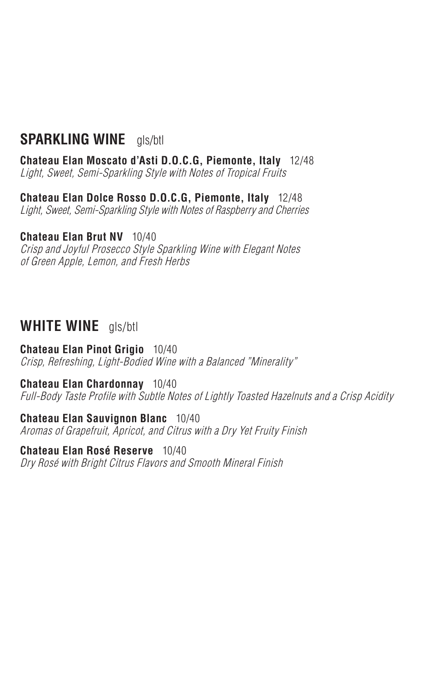# **SPARKLING WINE** gls/btl

**Chateau Elan Moscato d'Asti D.O.C.G, Piemonte, Italy** 12/48 Light, Sweet, Semi-Sparkling Style with Notes of Tropical Fruits

**Chateau Elan Dolce Rosso D.O.C.G, Piemonte, Italy** 12/48 Light, Sweet, Semi-Sparkling Style with Notes of Raspberry and Cherries

#### **Chateau Elan Brut NV** 10/40

Crisp and Joyful Prosecco Style Sparkling Wine with Elegant Notes of Green Apple, Lemon, and Fresh Herbs

### **WHITE WINE** gls/btl

**Chateau Elan Pinot Grigio** 10/40 Crisp, Refreshing, Light-Bodied Wine with a Balanced "Minerality"

#### **Chateau Elan Chardonnay** 10/40

Full-Body Taste Profile with Subtle Notes of Lightly Toasted Hazelnuts and a Crisp Acidity

**Chateau Elan Sauvignon Blanc** 10/40 Aromas of Grapefruit, Apricot, and Citrus with a Dry Yet Fruity Finish

**Chateau Elan Rosé Reserve** 10/40 Dry Rosé with Bright Citrus Flavors and Smooth Mineral Finish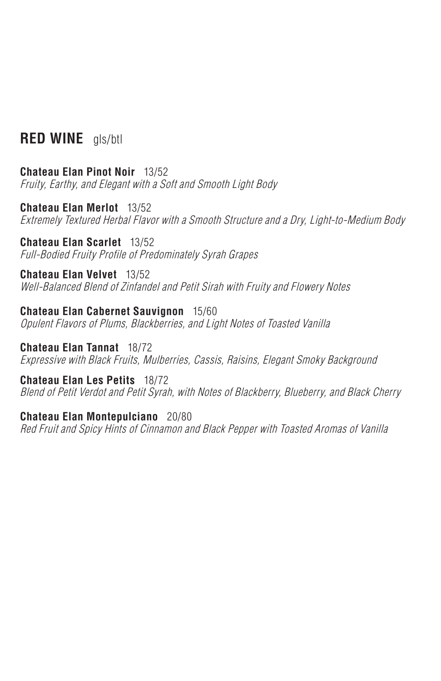# **RED WINE** gls/btl

**Chateau Elan Pinot Noir** 13/52 Fruity, Earthy, and Elegant with a Soft and Smooth Light Body

**Chateau Elan Merlot** 13/52 Extremely Textured Herbal Flavor with a Smooth Structure and a Dry, Light-to-Medium Body

**Chateau Elan Scarlet** 13/52 Full-Bodied Fruity Profile of Predominately Syrah Grapes

**Chateau Elan Velvet** 13/52 Well-Balanced Blend of Zinfandel and Petit Sirah with Fruity and Flowery Notes

**Chateau Elan Cabernet Sauvignon** 15/60 Opulent Flavors of Plums, Blackberries, and Light Notes of Toasted Vanilla

**Chateau Elan Tannat** 18/72 Expressive with Black Fruits, Mulberries, Cassis, Raisins, Elegant Smoky Background

**Chateau Elan Les Petits** 18/72 Blend of Petit Verdot and Petit Syrah, with Notes of Blackberry, Blueberry, and Black Cherry

**Chateau Elan Montepulciano** 20/80

Red Fruit and Spicy Hints of Cinnamon and Black Pepper with Toasted Aromas of Vanilla